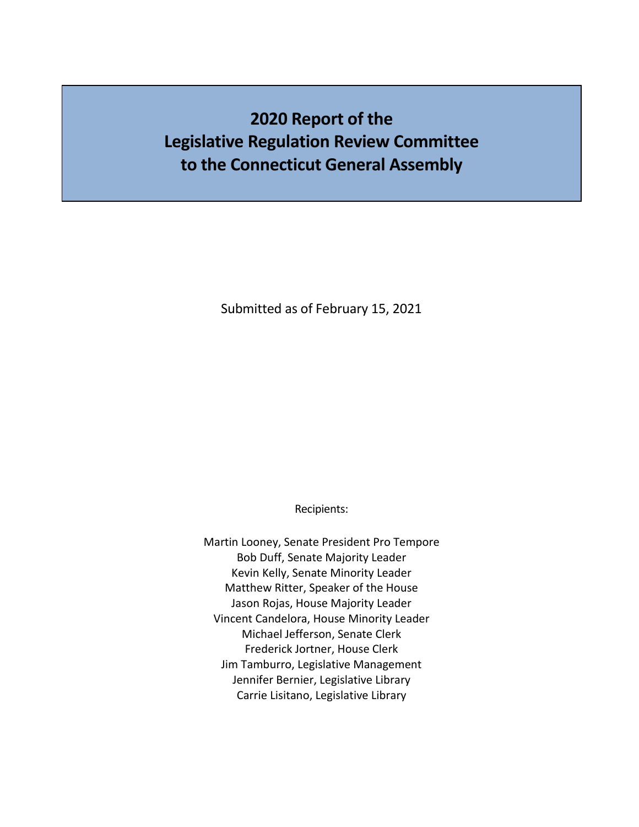# **2020 Report of the Legislative Regulation Review Committee to the Connecticut General Assembly**

Submitted as of February 15, 2021

Recipients:

Martin Looney, Senate President Pro Tempore Bob Duff, Senate Majority Leader Kevin Kelly, Senate Minority Leader Matthew Ritter, Speaker of the House Jason Rojas, House Majority Leader Vincent Candelora, House Minority Leader Michael Jefferson, Senate Clerk Frederick Jortner, House Clerk Jim Tamburro, Legislative Management Jennifer Bernier, Legislative Library Carrie Lisitano, Legislative Library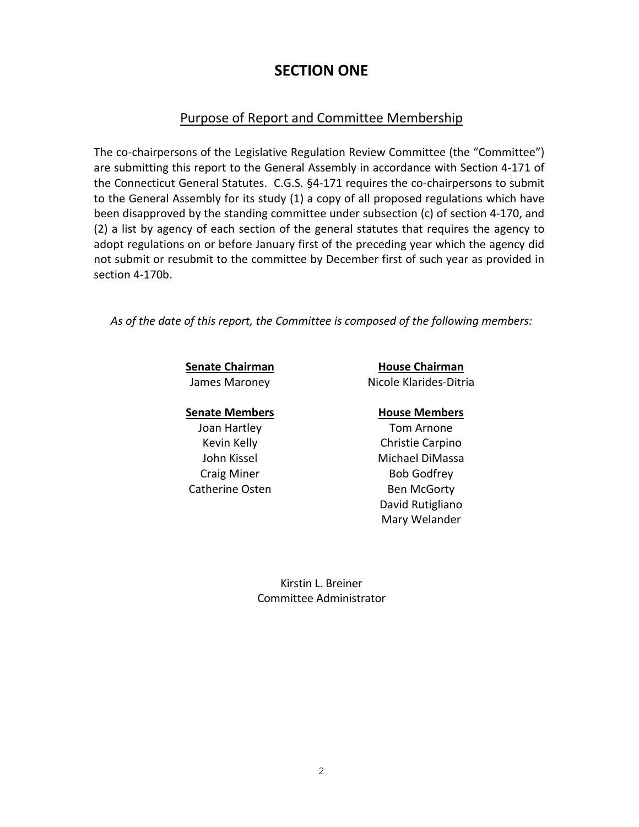## **SECTION ONE**

### Purpose of Report and Committee Membership

The co-chairpersons of the Legislative Regulation Review Committee (the "Committee") are submitting this report to the General Assembly in accordance with Section 4-171 of the Connecticut General Statutes. C.G.S. §4-171 requires the co-chairpersons to submit to the General Assembly for its study (1) a copy of all proposed regulations which have been disapproved by the standing committee under subsection (c) of section 4-170, and (2) a list by agency of each section of the general statutes that requires the agency to adopt regulations on or before January first of the preceding year which the agency did not submit or resubmit to the committee by December first of such year as provided in section 4-170b.

*As of the date of this report, the Committee is composed of the following members:*

### **Senate Members House Members**

Joan Hartley **Tom Arnone** Catherine Osten Ben McGorty

**Senate Chairman House Chairman** James Maroney Nicole Klarides-Ditria

Kevin Kelly Christie Carpino John Kissel Michael DiMassa Craig Miner **Bob Godfrey** David Rutigliano Mary Welander

> Kirstin L. Breiner Committee Administrator